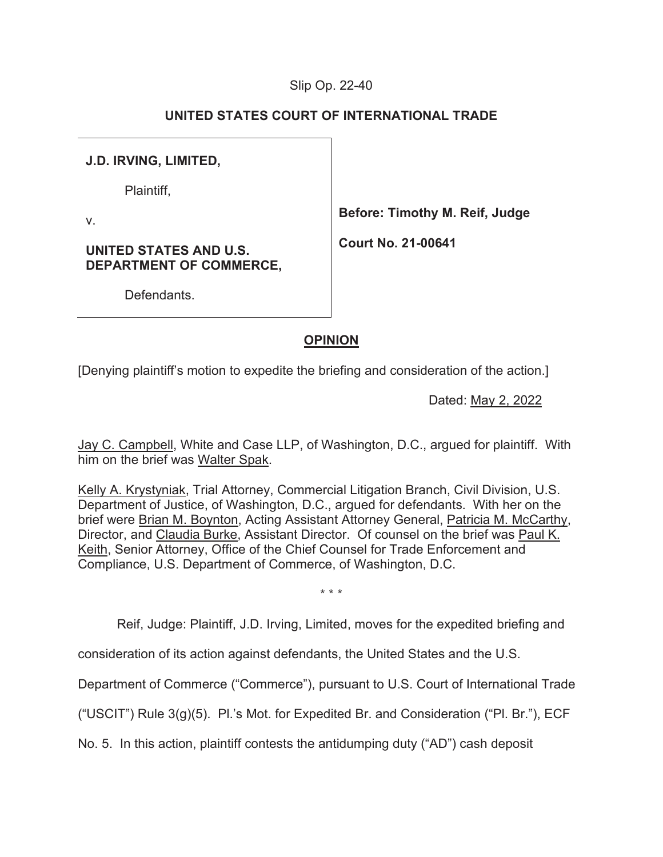### Slip Op. 22-40

### **UNITED STATES COURT OF INTERNATIONAL TRADE**

### **J.D. IRVING, LIMITED,**

Plaintiff,

v.

**Before: Timothy M. Reif, Judge** 

**Court No. 21-00641**

**UNITED STATES AND U.S. DEPARTMENT OF COMMERCE,** 

**Defendants** 

### **OPINION**

[Denying plaintiff's motion to expedite the briefing and consideration of the action.]

Dated: May 2, 2022

Jay C. Campbell, White and Case LLP, of Washington, D.C., argued for plaintiff. With him on the brief was Walter Spak.

Kelly A. Krystyniak, Trial Attorney, Commercial Litigation Branch, Civil Division, U.S. Department of Justice, of Washington, D.C., argued for defendants. With her on the brief were Brian M. Boynton, Acting Assistant Attorney General, Patricia M. McCarthy, Director, and Claudia Burke, Assistant Director. Of counsel on the brief was Paul K. Keith, Senior Attorney, Office of the Chief Counsel for Trade Enforcement and Compliance, U.S. Department of Commerce, of Washington, D.C.

\* \* \*

Reif, Judge: Plaintiff, J.D. Irving, Limited, moves for the expedited briefing and

consideration of its action against defendants, the United States and the U.S.

Department of Commerce ("Commerce"), pursuant to U.S. Court of International Trade

("USCIT") Rule 3(g)(5). Pl.'s Mot. for Expedited Br. and Consideration ("Pl. Br."), ECF

No. 5. In this action, plaintiff contests the antidumping duty ("AD") cash deposit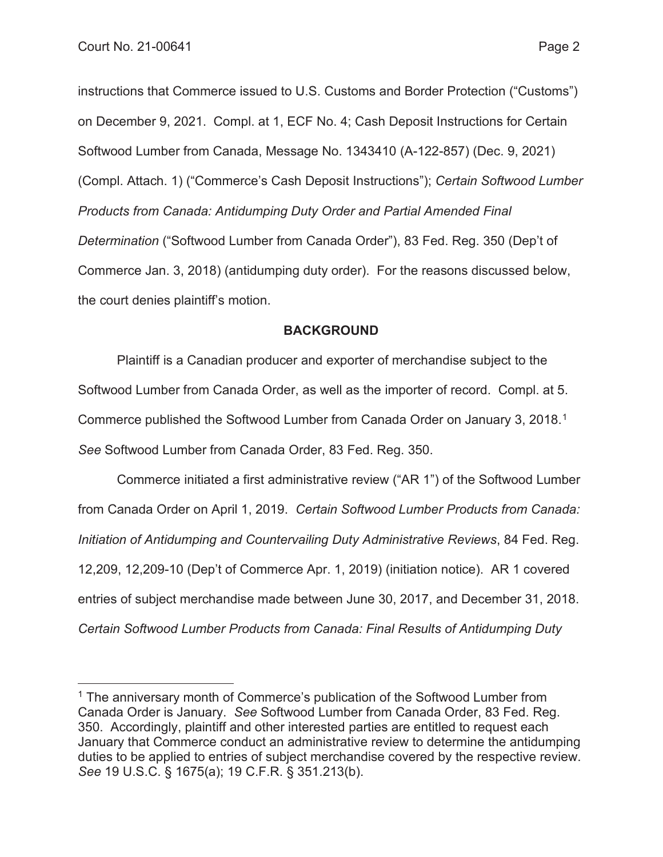instructions that Commerce issued to U.S. Customs and Border Protection ("Customs") on December 9, 2021. Compl. at 1, ECF No. 4; Cash Deposit Instructions for Certain Softwood Lumber from Canada, Message No. 1343410 (A-122-857) (Dec. 9, 2021) (Compl. Attach. 1) ("Commerce's Cash Deposit Instructions"); *Certain Softwood Lumber Products from Canada: Antidumping Duty Order and Partial Amended Final Determination* ("Softwood Lumber from Canada Order"), 83 Fed. Reg. 350 (Dep't of Commerce Jan. 3, 2018) (antidumping duty order). For the reasons discussed below, the court denies plaintiff's motion.

### **BACKGROUND**

Plaintiff is a Canadian producer and exporter of merchandise subject to the Softwood Lumber from Canada Order, as well as the importer of record. Compl. at 5. Commerce published the Softwood Lumber from Canada Order on January 3, 2018.1 *See* Softwood Lumber from Canada Order, 83 Fed. Reg. 350.

Commerce initiated a first administrative review ("AR 1") of the Softwood Lumber from Canada Order on April 1, 2019. *Certain Softwood Lumber Products from Canada: Initiation of Antidumping and Countervailing Duty Administrative Reviews*, 84 Fed. Reg. 12,209, 12,209-10 (Dep't of Commerce Apr. 1, 2019) (initiation notice). AR 1 covered entries of subject merchandise made between June 30, 2017, and December 31, 2018. *Certain Softwood Lumber Products from Canada: Final Results of Antidumping Duty* 

<sup>&</sup>lt;sup>1</sup> The anniversary month of Commerce's publication of the Softwood Lumber from Canada Order is January. *See* Softwood Lumber from Canada Order, 83 Fed. Reg. 350. Accordingly, plaintiff and other interested parties are entitled to request each January that Commerce conduct an administrative review to determine the antidumping duties to be applied to entries of subject merchandise covered by the respective review. *See* 19 U.S.C. § 1675(a); 19 C.F.R. § 351.213(b).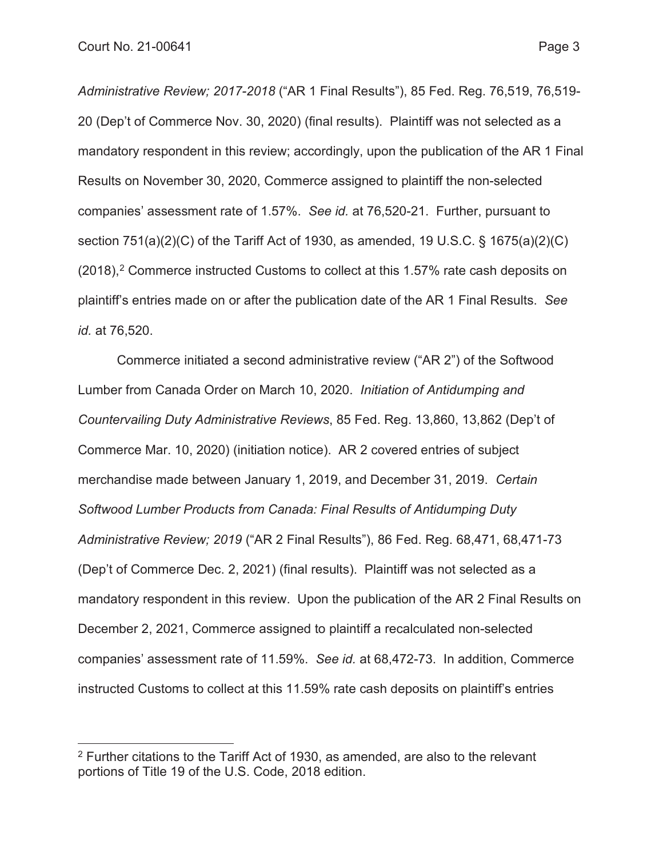*Administrative Review; 2017-2018* ("AR 1 Final Results"), 85 Fed. Reg. 76,519, 76,519- 20 (Dep't of Commerce Nov. 30, 2020) (final results). Plaintiff was not selected as a mandatory respondent in this review; accordingly, upon the publication of the AR 1 Final Results on November 30, 2020, Commerce assigned to plaintiff the non-selected companies' assessment rate of 1.57%. *See id.* at 76,520-21. Further, pursuant to section 751(a)(2)(C) of the Tariff Act of 1930, as amended, 19 U.S.C. § 1675(a)(2)(C)  $(2018),<sup>2</sup>$  Commerce instructed Customs to collect at this 1.57% rate cash deposits on plaintiff's entries made on or after the publication date of the AR 1 Final Results. *See id.* at 76,520.

Commerce initiated a second administrative review ("AR 2") of the Softwood Lumber from Canada Order on March 10, 2020. *Initiation of Antidumping and Countervailing Duty Administrative Reviews*, 85 Fed. Reg. 13,860, 13,862 (Dep't of Commerce Mar. 10, 2020) (initiation notice). AR 2 covered entries of subject merchandise made between January 1, 2019, and December 31, 2019. *Certain Softwood Lumber Products from Canada: Final Results of Antidumping Duty Administrative Review; 2019* ("AR 2 Final Results"), 86 Fed. Reg. 68,471, 68,471-73 (Dep't of Commerce Dec. 2, 2021) (final results). Plaintiff was not selected as a mandatory respondent in this review. Upon the publication of the AR 2 Final Results on December 2, 2021, Commerce assigned to plaintiff a recalculated non-selected companies' assessment rate of 11.59%. *See id.* at 68,472-73. In addition, Commerce instructed Customs to collect at this 11.59% rate cash deposits on plaintiff's entries

<sup>2</sup> Further citations to the Tariff Act of 1930, as amended, are also to the relevant portions of Title 19 of the U.S. Code, 2018 edition.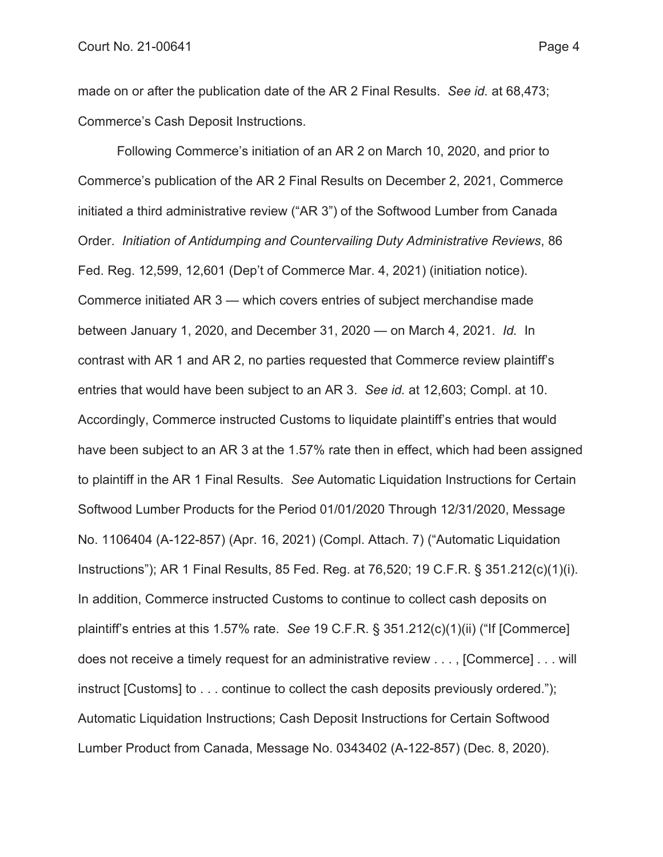made on or after the publication date of the AR 2 Final Results. *See id.* at 68,473; Commerce's Cash Deposit Instructions.

Following Commerce's initiation of an AR 2 on March 10, 2020, and prior to Commerce's publication of the AR 2 Final Results on December 2, 2021, Commerce initiated a third administrative review ("AR 3") of the Softwood Lumber from Canada Order. *Initiation of Antidumping and Countervailing Duty Administrative Reviews*, 86 Fed. Reg. 12,599, 12,601 (Dep't of Commerce Mar. 4, 2021) (initiation notice). Commerce initiated AR 3 — which covers entries of subject merchandise made between January 1, 2020, and December 31, 2020 — on March 4, 2021. *Id.* In contrast with AR 1 and AR 2, no parties requested that Commerce review plaintiff's entries that would have been subject to an AR 3. *See id.* at 12,603; Compl. at 10. Accordingly, Commerce instructed Customs to liquidate plaintiff's entries that would have been subject to an AR 3 at the 1.57% rate then in effect, which had been assigned to plaintiff in the AR 1 Final Results. *See* Automatic Liquidation Instructions for Certain Softwood Lumber Products for the Period 01/01/2020 Through 12/31/2020, Message No. 1106404 (A-122-857) (Apr. 16, 2021) (Compl. Attach. 7) ("Automatic Liquidation Instructions"); AR 1 Final Results, 85 Fed. Reg. at 76,520; 19 C.F.R. § 351.212(c)(1)(i). In addition, Commerce instructed Customs to continue to collect cash deposits on plaintiff's entries at this 1.57% rate. *See* 19 C.F.R. § 351.212(c)(1)(ii) ("If [Commerce] does not receive a timely request for an administrative review . . . , [Commerce] . . . will instruct [Customs] to . . . continue to collect the cash deposits previously ordered."); Automatic Liquidation Instructions; Cash Deposit Instructions for Certain Softwood Lumber Product from Canada, Message No. 0343402 (A-122-857) (Dec. 8, 2020).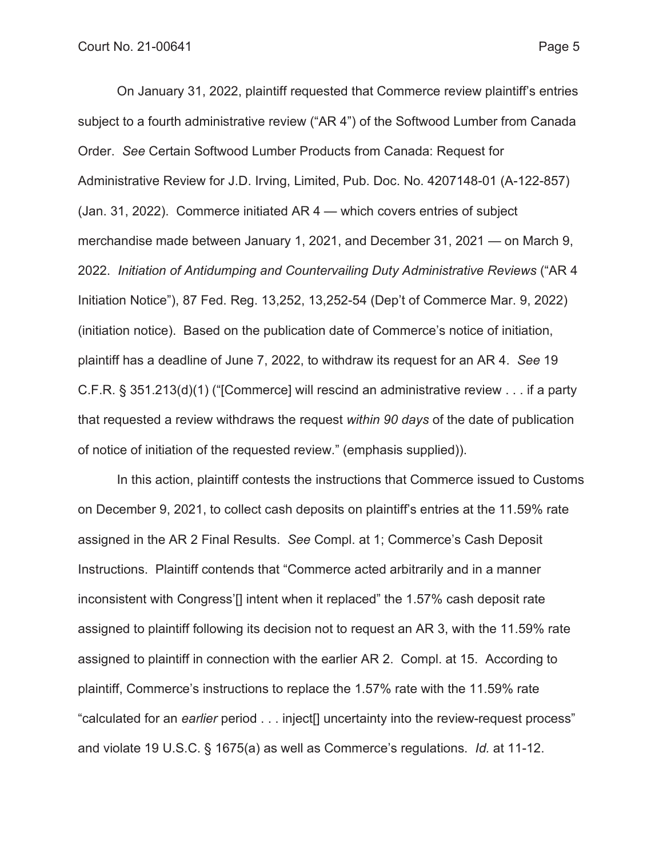On January 31, 2022, plaintiff requested that Commerce review plaintiff's entries subject to a fourth administrative review ("AR 4") of the Softwood Lumber from Canada Order. *See* Certain Softwood Lumber Products from Canada: Request for Administrative Review for J.D. Irving, Limited, Pub. Doc. No. 4207148-01 (A-122-857) (Jan. 31, 2022). Commerce initiated AR 4 — which covers entries of subject merchandise made between January 1, 2021, and December 31, 2021 — on March 9, 2022. *Initiation of Antidumping and Countervailing Duty Administrative Reviews* ("AR 4 Initiation Notice"), 87 Fed. Reg. 13,252, 13,252-54 (Dep't of Commerce Mar. 9, 2022) (initiation notice). Based on the publication date of Commerce's notice of initiation, plaintiff has a deadline of June 7, 2022, to withdraw its request for an AR 4. *See* 19 C.F.R. § 351.213(d)(1) ("[Commerce] will rescind an administrative review . . . if a party that requested a review withdraws the request *within 90 days* of the date of publication of notice of initiation of the requested review." (emphasis supplied)).

In this action, plaintiff contests the instructions that Commerce issued to Customs on December 9, 2021, to collect cash deposits on plaintiff's entries at the 11.59% rate assigned in the AR 2 Final Results. *See* Compl. at 1; Commerce's Cash Deposit Instructions. Plaintiff contends that "Commerce acted arbitrarily and in a manner inconsistent with Congress'<sup>[]</sup> intent when it replaced" the 1.57% cash deposit rate assigned to plaintiff following its decision not to request an AR 3, with the 11.59% rate assigned to plaintiff in connection with the earlier AR 2. Compl. at 15. According to plaintiff, Commerce's instructions to replace the 1.57% rate with the 11.59% rate "calculated for an *earlier* period . . . inject[] uncertainty into the review-request process" and violate 19 U.S.C. § 1675(a) as well as Commerce's regulations. *Id.* at 11-12.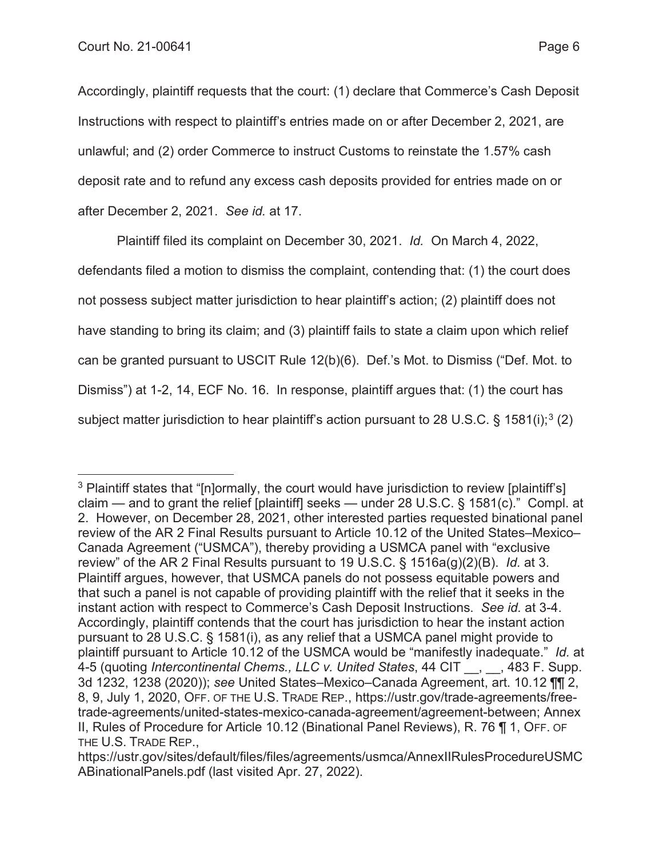Accordingly, plaintiff requests that the court: (1) declare that Commerce's Cash Deposit Instructions with respect to plaintiff's entries made on or after December 2, 2021, are unlawful; and (2) order Commerce to instruct Customs to reinstate the 1.57% cash deposit rate and to refund any excess cash deposits provided for entries made on or after December 2, 2021. *See id.* at 17.

Plaintiff filed its complaint on December 30, 2021. *Id.* On March 4, 2022, defendants filed a motion to dismiss the complaint, contending that: (1) the court does not possess subject matter jurisdiction to hear plaintiff's action; (2) plaintiff does not have standing to bring its claim; and (3) plaintiff fails to state a claim upon which relief can be granted pursuant to USCIT Rule 12(b)(6). Def.'s Mot. to Dismiss ("Def. Mot. to Dismiss") at 1-2, 14, ECF No. 16. In response, plaintiff argues that: (1) the court has subject matter jurisdiction to hear plaintiff's action pursuant to 28 U.S.C. § 1581(i);<sup>3</sup> (2)

<sup>&</sup>lt;sup>3</sup> Plaintiff states that "[n]ormally, the court would have jurisdiction to review [plaintiff's] claim — and to grant the relief [plaintiff] seeks — under 28 U.S.C. § 1581(c)." Compl. at 2. However, on December 28, 2021, other interested parties requested binational panel review of the AR 2 Final Results pursuant to Article 10.12 of the United States–Mexico– Canada Agreement ("USMCA"), thereby providing a USMCA panel with "exclusive review" of the AR 2 Final Results pursuant to 19 U.S.C. § 1516a(g)(2)(B). *Id.* at 3. Plaintiff argues, however, that USMCA panels do not possess equitable powers and that such a panel is not capable of providing plaintiff with the relief that it seeks in the instant action with respect to Commerce's Cash Deposit Instructions. *See id.* at 3-4. Accordingly, plaintiff contends that the court has jurisdiction to hear the instant action pursuant to 28 U.S.C. § 1581(i), as any relief that a USMCA panel might provide to plaintiff pursuant to Article 10.12 of the USMCA would be "manifestly inadequate." *Id.* at 4-5 (quoting *Intercontinental Chems., LLC v. United States*, 44 CIT \_\_, \_\_, 483 F. Supp. 3d 1232, 1238 (2020)); *see* United States–Mexico–Canada Agreement, art. 10.12 ¶¶ 2, 8, 9, July 1, 2020, OFF. OF THE U.S. TRADE REP., https://ustr.gov/trade-agreements/freetrade-agreements/united-states-mexico-canada-agreement/agreement-between; Annex II, Rules of Procedure for Article 10.12 (Binational Panel Reviews), R. 76 ¶ 1, OFF. OF THE U.S. TRADE REP.,

https://ustr.gov/sites/default/files/files/agreements/usmca/AnnexIIRulesProcedureUSMC ABinationalPanels.pdf (last visited Apr. 27, 2022).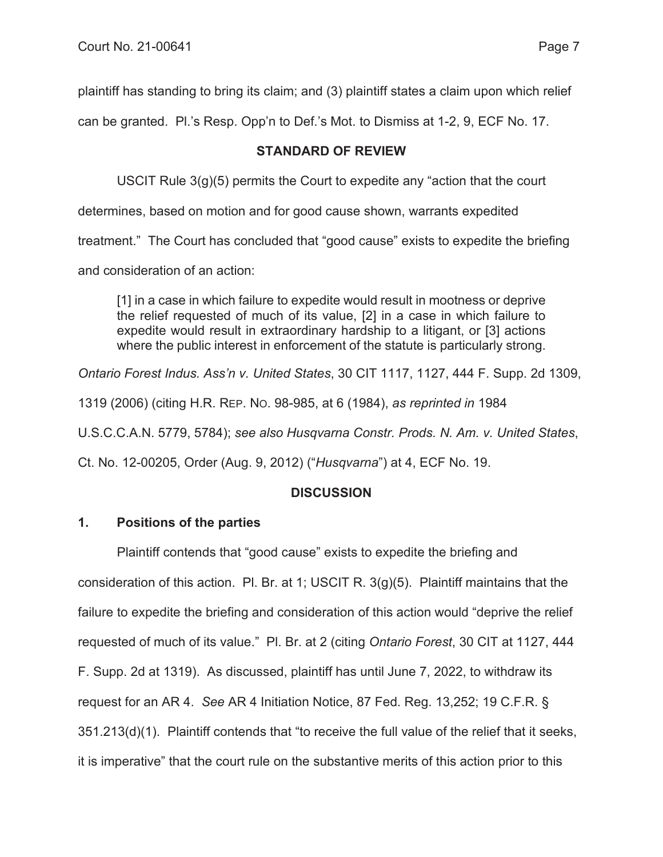plaintiff has standing to bring its claim; and (3) plaintiff states a claim upon which relief

can be granted. Pl.'s Resp. Opp'n to Def.'s Mot. to Dismiss at 1-2, 9, ECF No. 17.

## **STANDARD OF REVIEW**

USCIT Rule  $3(q)(5)$  permits the Court to expedite any "action that the court

determines, based on motion and for good cause shown, warrants expedited

treatment." The Court has concluded that "good cause" exists to expedite the briefing

and consideration of an action:

[1] in a case in which failure to expedite would result in mootness or deprive the relief requested of much of its value, [2] in a case in which failure to expedite would result in extraordinary hardship to a litigant, or [3] actions where the public interest in enforcement of the statute is particularly strong.

*Ontario Forest Indus. Ass'n v. United States*, 30 CIT 1117, 1127, 444 F. Supp. 2d 1309,

1319 (2006) (citing H.R. REP. NO. 98-985, at 6 (1984), *as reprinted in* 1984

U.S.C.C.A.N. 5779, 5784); *see also Husqvarna Constr. Prods. N. Am. v. United States*,

Ct. No. 12-00205, Order (Aug. 9, 2012) ("*Husqvarna*") at 4, ECF No. 19.

# **DISCUSSION**

# **1. Positions of the parties**

Plaintiff contends that "good cause" exists to expedite the briefing and consideration of this action. Pl. Br. at 1; USCIT R. 3(g)(5). Plaintiff maintains that the failure to expedite the briefing and consideration of this action would "deprive the relief requested of much of its value." Pl. Br. at 2 (citing *Ontario Forest*, 30 CIT at 1127, 444 F. Supp. 2d at 1319). As discussed, plaintiff has until June 7, 2022, to withdraw its request for an AR 4. *See* AR 4 Initiation Notice, 87 Fed. Reg. 13,252; 19 C.F.R. § 351.213(d)(1). Plaintiff contends that "to receive the full value of the relief that it seeks, it is imperative" that the court rule on the substantive merits of this action prior to this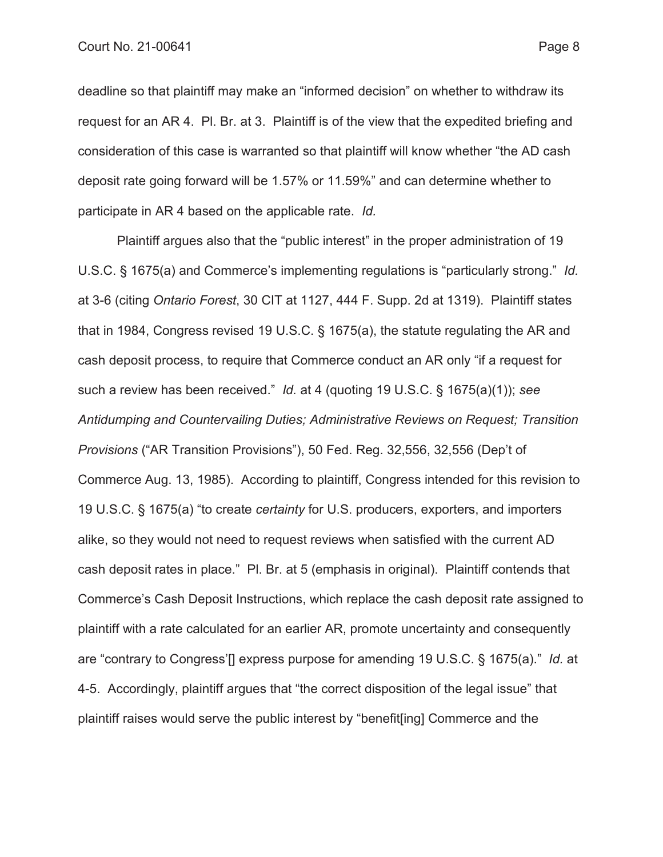deadline so that plaintiff may make an "informed decision" on whether to withdraw its request for an AR 4. Pl. Br. at 3. Plaintiff is of the view that the expedited briefing and consideration of this case is warranted so that plaintiff will know whether "the AD cash deposit rate going forward will be 1.57% or 11.59%" and can determine whether to participate in AR 4 based on the applicable rate. *Id.*

Plaintiff argues also that the "public interest" in the proper administration of 19 U.S.C. § 1675(a) and Commerce's implementing regulations is "particularly strong." *Id.*  at 3-6 (citing *Ontario Forest*, 30 CIT at 1127, 444 F. Supp. 2d at 1319). Plaintiff states that in 1984, Congress revised 19 U.S.C. § 1675(a), the statute regulating the AR and cash deposit process, to require that Commerce conduct an AR only "if a request for such a review has been received." *Id.* at 4 (quoting 19 U.S.C. § 1675(a)(1)); *see Antidumping and Countervailing Duties; Administrative Reviews on Request; Transition Provisions* ("AR Transition Provisions"), 50 Fed. Reg. 32,556, 32,556 (Dep't of Commerce Aug. 13, 1985). According to plaintiff, Congress intended for this revision to 19 U.S.C. § 1675(a) "to create *certainty* for U.S. producers, exporters, and importers alike, so they would not need to request reviews when satisfied with the current AD cash deposit rates in place." Pl. Br. at 5 (emphasis in original). Plaintiff contends that Commerce's Cash Deposit Instructions, which replace the cash deposit rate assigned to plaintiff with a rate calculated for an earlier AR, promote uncertainty and consequently are "contrary to Congress'[] express purpose for amending 19 U.S.C. § 1675(a)." *Id.* at 4-5. Accordingly, plaintiff argues that "the correct disposition of the legal issue" that plaintiff raises would serve the public interest by "benefit[ing] Commerce and the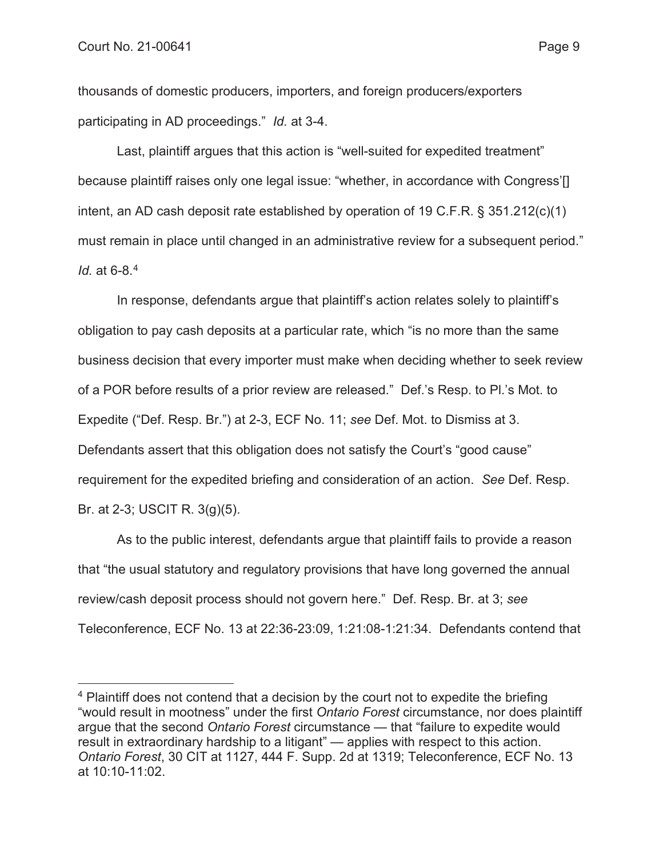thousands of domestic producers, importers, and foreign producers/exporters participating in AD proceedings." *Id.* at 3-4.

Last, plaintiff argues that this action is "well-suited for expedited treatment" because plaintiff raises only one legal issue: "whether, in accordance with Congress'[] intent, an AD cash deposit rate established by operation of 19 C.F.R. § 351.212(c)(1) must remain in place until changed in an administrative review for a subsequent period." *Id.* at 6-8.4

In response, defendants argue that plaintiff's action relates solely to plaintiff's obligation to pay cash deposits at a particular rate, which "is no more than the same business decision that every importer must make when deciding whether to seek review of a POR before results of a prior review are released." Def.'s Resp. to Pl.'s Mot. to Expedite ("Def. Resp. Br.") at 2-3, ECF No. 11; *see* Def. Mot. to Dismiss at 3. Defendants assert that this obligation does not satisfy the Court's "good cause" requirement for the expedited briefing and consideration of an action. *See* Def. Resp. Br. at 2-3; USCIT R. 3(g)(5).

As to the public interest, defendants argue that plaintiff fails to provide a reason that "the usual statutory and regulatory provisions that have long governed the annual review/cash deposit process should not govern here." Def. Resp. Br. at 3; *see*  Teleconference, ECF No. 13 at 22:36-23:09, 1:21:08-1:21:34. Defendants contend that

<sup>&</sup>lt;sup>4</sup> Plaintiff does not contend that a decision by the court not to expedite the briefing "would result in mootness" under the first *Ontario Forest* circumstance, nor does plaintiff argue that the second *Ontario Forest* circumstance — that "failure to expedite would result in extraordinary hardship to a litigant" — applies with respect to this action. *Ontario Forest*, 30 CIT at 1127, 444 F. Supp. 2d at 1319; Teleconference, ECF No. 13 at 10:10-11:02.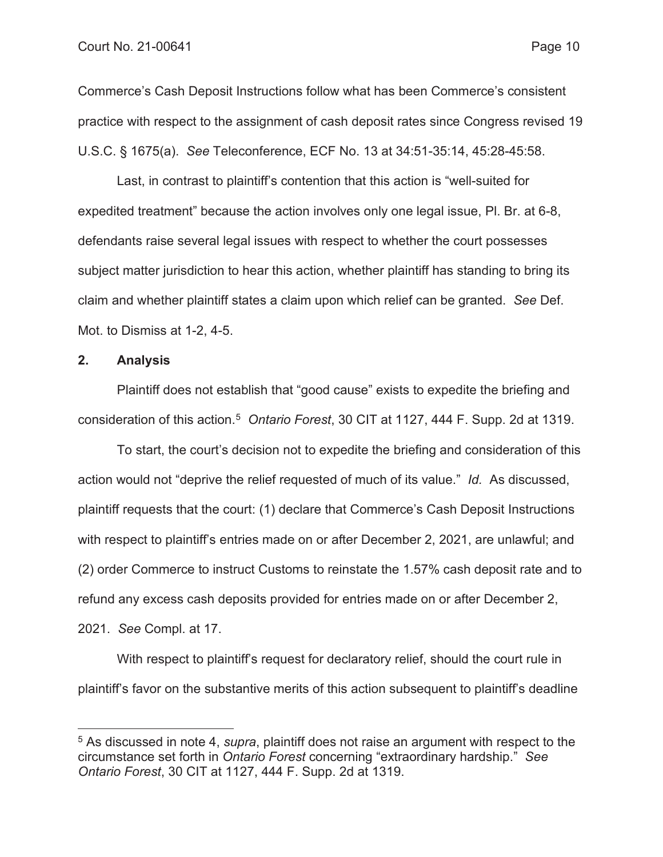Commerce's Cash Deposit Instructions follow what has been Commerce's consistent practice with respect to the assignment of cash deposit rates since Congress revised 19 U.S.C. § 1675(a). *See* Teleconference, ECF No. 13 at 34:51-35:14, 45:28-45:58.

Last, in contrast to plaintiff's contention that this action is "well-suited for expedited treatment" because the action involves only one legal issue, Pl. Br. at 6-8, defendants raise several legal issues with respect to whether the court possesses subject matter jurisdiction to hear this action, whether plaintiff has standing to bring its claim and whether plaintiff states a claim upon which relief can be granted. *See* Def. Mot. to Dismiss at 1-2, 4-5.

#### **2. Analysis**

Plaintiff does not establish that "good cause" exists to expedite the briefing and consideration of this action.5 *Ontario Forest*, 30 CIT at 1127, 444 F. Supp. 2d at 1319.

To start, the court's decision not to expedite the briefing and consideration of this action would not "deprive the relief requested of much of its value." *Id.* As discussed, plaintiff requests that the court: (1) declare that Commerce's Cash Deposit Instructions with respect to plaintiff's entries made on or after December 2, 2021, are unlawful; and (2) order Commerce to instruct Customs to reinstate the 1.57% cash deposit rate and to refund any excess cash deposits provided for entries made on or after December 2, 2021. *See* Compl. at 17.

With respect to plaintiff's request for declaratory relief, should the court rule in plaintiff's favor on the substantive merits of this action subsequent to plaintiff's deadline

<sup>5</sup> As discussed in note 4, *supra*, plaintiff does not raise an argument with respect to the circumstance set forth in *Ontario Forest* concerning "extraordinary hardship." *See Ontario Forest*, 30 CIT at 1127, 444 F. Supp. 2d at 1319.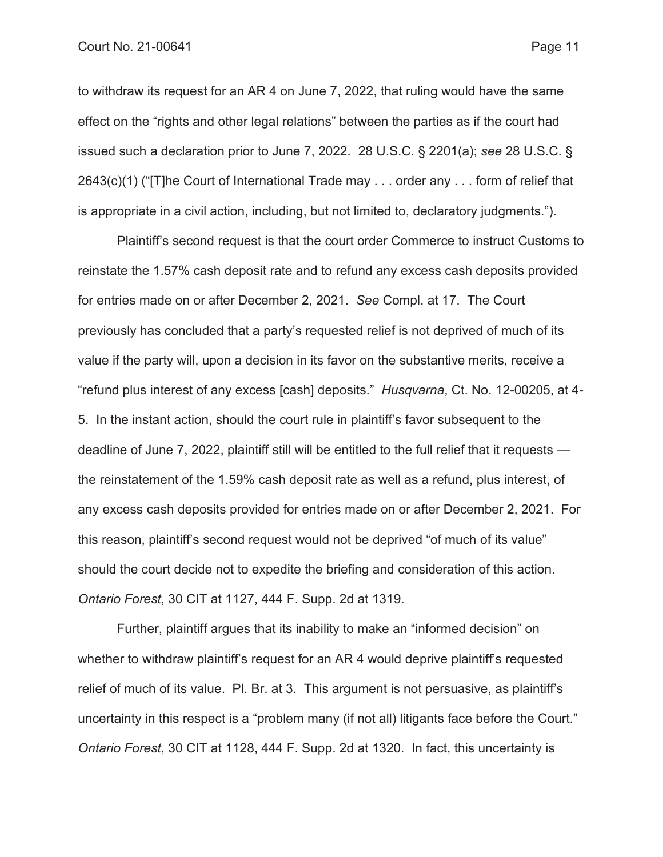to withdraw its request for an AR 4 on June 7, 2022, that ruling would have the same effect on the "rights and other legal relations" between the parties as if the court had issued such a declaration prior to June 7, 2022. 28 U.S.C. § 2201(a); *see* 28 U.S.C. § 2643(c)(1) ("[T]he Court of International Trade may . . . order any . . . form of relief that is appropriate in a civil action, including, but not limited to, declaratory judgments.").

Plaintiff's second request is that the court order Commerce to instruct Customs to reinstate the 1.57% cash deposit rate and to refund any excess cash deposits provided for entries made on or after December 2, 2021. *See* Compl. at 17. The Court previously has concluded that a party's requested relief is not deprived of much of its value if the party will, upon a decision in its favor on the substantive merits, receive a "refund plus interest of any excess [cash] deposits." *Husqvarna*, Ct. No. 12-00205, at 4- 5. In the instant action, should the court rule in plaintiff's favor subsequent to the deadline of June 7, 2022, plaintiff still will be entitled to the full relief that it requests the reinstatement of the 1.59% cash deposit rate as well as a refund, plus interest, of any excess cash deposits provided for entries made on or after December 2, 2021. For this reason, plaintiff's second request would not be deprived "of much of its value" should the court decide not to expedite the briefing and consideration of this action. *Ontario Forest*, 30 CIT at 1127, 444 F. Supp. 2d at 1319.

Further, plaintiff argues that its inability to make an "informed decision" on whether to withdraw plaintiff's request for an AR 4 would deprive plaintiff's requested relief of much of its value. Pl. Br. at 3. This argument is not persuasive, as plaintiff's uncertainty in this respect is a "problem many (if not all) litigants face before the Court." *Ontario Forest*, 30 CIT at 1128, 444 F. Supp. 2d at 1320. In fact, this uncertainty is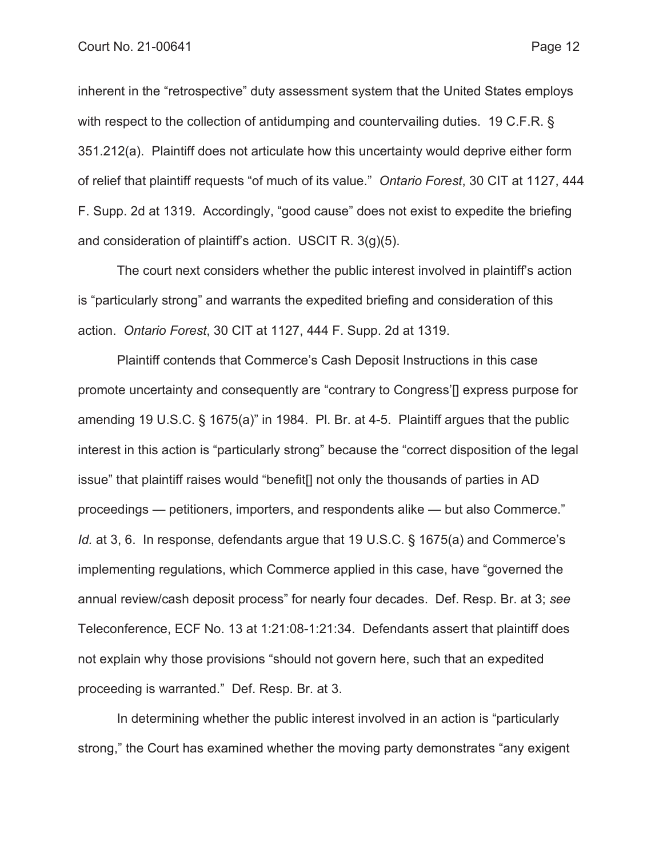inherent in the "retrospective" duty assessment system that the United States employs with respect to the collection of antidumping and countervailing duties. 19 C.F.R. § 351.212(a). Plaintiff does not articulate how this uncertainty would deprive either form of relief that plaintiff requests "of much of its value." *Ontario Forest*, 30 CIT at 1127, 444 F. Supp. 2d at 1319. Accordingly, "good cause" does not exist to expedite the briefing and consideration of plaintiff's action. USCIT R. 3(g)(5).

The court next considers whether the public interest involved in plaintiff's action is "particularly strong" and warrants the expedited briefing and consideration of this action. *Ontario Forest*, 30 CIT at 1127, 444 F. Supp. 2d at 1319.

Plaintiff contends that Commerce's Cash Deposit Instructions in this case promote uncertainty and consequently are "contrary to Congress'[] express purpose for amending 19 U.S.C. § 1675(a)" in 1984. Pl. Br. at 4-5. Plaintiff argues that the public interest in this action is "particularly strong" because the "correct disposition of the legal issue" that plaintiff raises would "benefit[] not only the thousands of parties in AD proceedings — petitioners, importers, and respondents alike — but also Commerce." *Id.* at 3, 6. In response, defendants argue that 19 U.S.C. § 1675(a) and Commerce's implementing regulations, which Commerce applied in this case, have "governed the annual review/cash deposit process" for nearly four decades. Def. Resp. Br. at 3; *see*  Teleconference, ECF No. 13 at 1:21:08-1:21:34. Defendants assert that plaintiff does not explain why those provisions "should not govern here, such that an expedited proceeding is warranted." Def. Resp. Br. at 3.

In determining whether the public interest involved in an action is "particularly strong," the Court has examined whether the moving party demonstrates "any exigent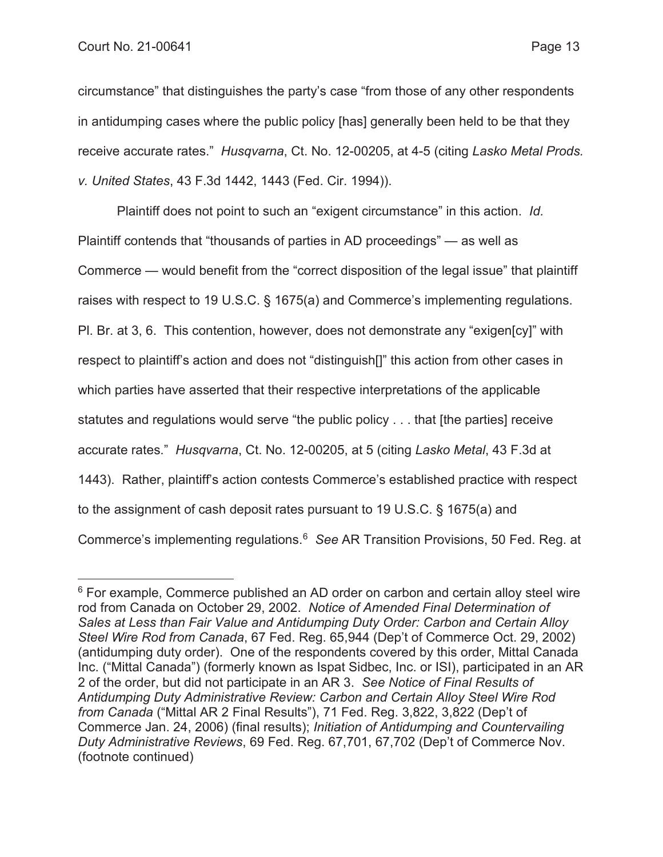circumstance" that distinguishes the party's case "from those of any other respondents in antidumping cases where the public policy [has] generally been held to be that they receive accurate rates." *Husqvarna*, Ct. No. 12-00205, at 4-5 (citing *Lasko Metal Prods. v. United States*, 43 F.3d 1442, 1443 (Fed. Cir. 1994)).

Plaintiff does not point to such an "exigent circumstance" in this action. *Id.* Plaintiff contends that "thousands of parties in AD proceedings" — as well as Commerce — would benefit from the "correct disposition of the legal issue" that plaintiff raises with respect to 19 U.S.C. § 1675(a) and Commerce's implementing regulations. Pl. Br. at 3, 6. This contention, however, does not demonstrate any "exigen[cy]" with respect to plaintiff's action and does not "distinguish[]" this action from other cases in which parties have asserted that their respective interpretations of the applicable statutes and regulations would serve "the public policy . . . that [the parties] receive accurate rates." *Husqvarna*, Ct. No. 12-00205, at 5 (citing *Lasko Metal*, 43 F.3d at 1443). Rather, plaintiff's action contests Commerce's established practice with respect to the assignment of cash deposit rates pursuant to 19 U.S.C. § 1675(a) and Commerce's implementing regulations.6 *See* AR Transition Provisions, 50 Fed. Reg. at

<sup>&</sup>lt;sup>6</sup> For example, Commerce published an AD order on carbon and certain alloy steel wire rod from Canada on October 29, 2002. *Notice of Amended Final Determination of Sales at Less than Fair Value and Antidumping Duty Order: Carbon and Certain Alloy Steel Wire Rod from Canada*, 67 Fed. Reg. 65,944 (Dep't of Commerce Oct. 29, 2002) (antidumping duty order). One of the respondents covered by this order, Mittal Canada Inc. ("Mittal Canada") (formerly known as Ispat Sidbec, Inc. or ISI), participated in an AR 2 of the order, but did not participate in an AR 3. *See Notice of Final Results of Antidumping Duty Administrative Review: Carbon and Certain Alloy Steel Wire Rod from Canada* ("Mittal AR 2 Final Results"), 71 Fed. Reg. 3,822, 3,822 (Dep't of Commerce Jan. 24, 2006) (final results); *Initiation of Antidumping and Countervailing Duty Administrative Reviews*, 69 Fed. Reg. 67,701, 67,702 (Dep't of Commerce Nov. (footnote continued)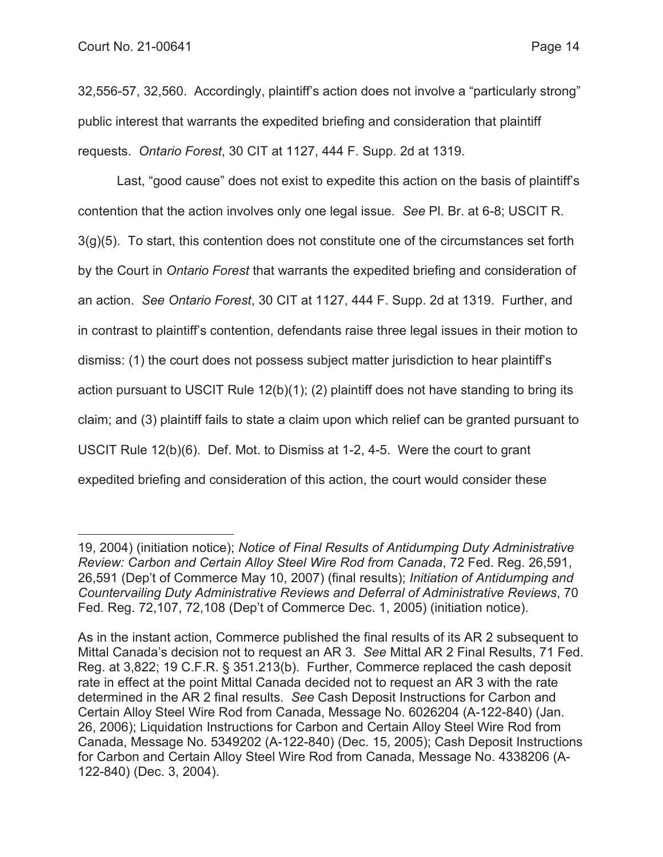32,556-57, 32,560. Accordingly, plaintiff's action does not involve a "particularly strong" public interest that warrants the expedited briefing and consideration that plaintiff requests. *Ontario Forest*, 30 CIT at 1127, 444 F. Supp. 2d at 1319.

Last, "good cause" does not exist to expedite this action on the basis of plaintiff's contention that the action involves only one legal issue. *See* Pl. Br. at 6-8; USCIT R.  $3(q)(5)$ . To start, this contention does not constitute one of the circumstances set forth by the Court in *Ontario Forest* that warrants the expedited briefing and consideration of an action. *See Ontario Forest*, 30 CIT at 1127, 444 F. Supp. 2d at 1319. Further, and in contrast to plaintiff's contention, defendants raise three legal issues in their motion to dismiss: (1) the court does not possess subject matter jurisdiction to hear plaintiff's action pursuant to USCIT Rule 12(b)(1); (2) plaintiff does not have standing to bring its claim; and (3) plaintiff fails to state a claim upon which relief can be granted pursuant to USCIT Rule 12(b)(6). Def. Mot. to Dismiss at 1-2, 4-5. Were the court to grant expedited briefing and consideration of this action, the court would consider these

<sup>19, 2004) (</sup>initiation notice); *Notice of Final Results of Antidumping Duty Administrative Review: Carbon and Certain Alloy Steel Wire Rod from Canada*, 72 Fed. Reg. 26,591, 26,591 (Dep't of Commerce May 10, 2007) (final results); *Initiation of Antidumping and Countervailing Duty Administrative Reviews and Deferral of Administrative Reviews*, 70 Fed. Reg. 72,107, 72,108 (Dep't of Commerce Dec. 1, 2005) (initiation notice).

As in the instant action, Commerce published the final results of its AR 2 subsequent to Mittal Canada's decision not to request an AR 3. *See* Mittal AR 2 Final Results, 71 Fed. Reg. at 3,822; 19 C.F.R. § 351.213(b). Further, Commerce replaced the cash deposit rate in effect at the point Mittal Canada decided not to request an AR 3 with the rate determined in the AR 2 final results. *See* Cash Deposit Instructions for Carbon and Certain Alloy Steel Wire Rod from Canada, Message No. 6026204 (A-122-840) (Jan. 26, 2006); Liquidation Instructions for Carbon and Certain Alloy Steel Wire Rod from Canada, Message No. 5349202 (A-122-840) (Dec. 15, 2005); Cash Deposit Instructions for Carbon and Certain Alloy Steel Wire Rod from Canada, Message No. 4338206 (A-122-840) (Dec. 3, 2004).